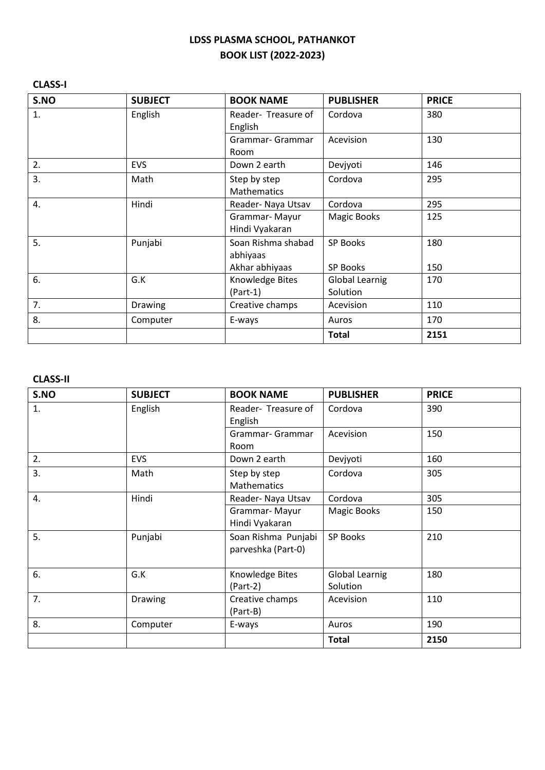#### **CLASS-I**

| S.NO | <b>SUBJECT</b> | <b>BOOK NAME</b>                   | <b>PUBLISHER</b>      | <b>PRICE</b> |
|------|----------------|------------------------------------|-----------------------|--------------|
| 1.   | English        | Reader- Treasure of<br>English     | Cordova               | 380          |
|      |                | Grammar- Grammar<br>Room           | Acevision             | 130          |
| 2.   | <b>EVS</b>     | Down 2 earth                       | Devjyoti              | 146          |
| 3.   | Math           | Step by step<br><b>Mathematics</b> | Cordova               | 295          |
| 4.   | Hindi          | Reader- Naya Utsav                 | Cordova               | 295          |
|      |                | Grammar-Mayur<br>Hindi Vyakaran    | Magic Books           | 125          |
| 5.   | Punjabi        | Soan Rishma shabad<br>abhiyaas     | <b>SP Books</b>       | 180          |
|      |                | Akhar abhiyaas                     | <b>SP Books</b>       | 150          |
| 6.   | G.K            | Knowledge Bites                    | <b>Global Learnig</b> | 170          |
|      |                | $(Part-1)$                         | Solution              |              |
| 7.   | <b>Drawing</b> | Creative champs                    | Acevision             | 110          |
| 8.   | Computer       | E-ways                             | Auros                 | 170          |
|      |                |                                    | <b>Total</b>          | 2151         |

#### **CLASS-II**

| S.NO | <b>SUBJECT</b> | <b>BOOK NAME</b>                          | <b>PUBLISHER</b>           | <b>PRICE</b> |
|------|----------------|-------------------------------------------|----------------------------|--------------|
| 1.   | English        | Reader- Treasure of<br>English            | Cordova                    | 390          |
|      |                | Grammar- Grammar<br><b>Room</b>           | Acevision                  | 150          |
| 2.   | <b>EVS</b>     | Down 2 earth                              | Devjyoti                   | 160          |
| 3.   | Math           | Step by step<br><b>Mathematics</b>        | Cordova                    | 305          |
| 4.   | Hindi          | Reader- Naya Utsav                        | Cordova                    | 305          |
|      |                | Grammar-Mayur<br>Hindi Vyakaran           | <b>Magic Books</b>         | 150          |
| 5.   | Punjabi        | Soan Rishma Punjabi<br>parveshka (Part-0) | <b>SP Books</b>            | 210          |
| 6.   | G.K            | Knowledge Bites<br>$(Part-2)$             | Global Learnig<br>Solution | 180          |
| 7.   | <b>Drawing</b> | Creative champs<br>(Part-B)               | Acevision                  | 110          |
| 8.   | Computer       | E-ways                                    | Auros                      | 190          |
|      |                |                                           | <b>Total</b>               | 2150         |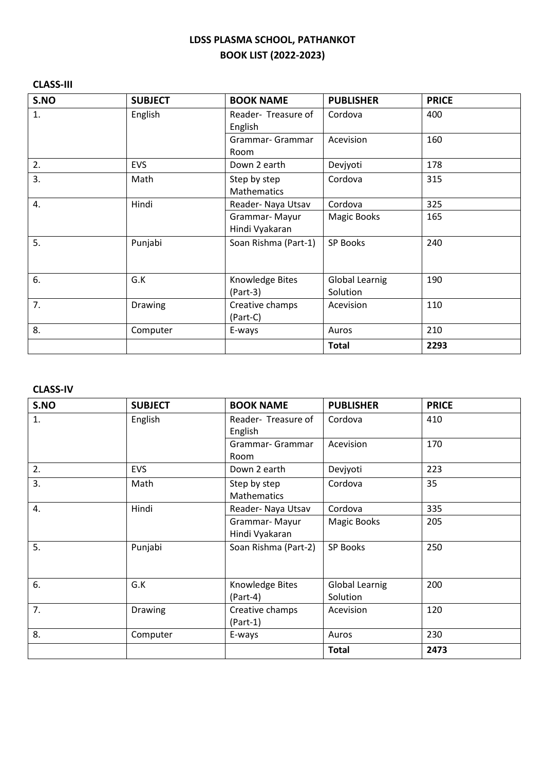### **CLASS-III**

| S.NO | <b>SUBJECT</b> | <b>BOOK NAME</b>                   | <b>PUBLISHER</b>           | <b>PRICE</b> |
|------|----------------|------------------------------------|----------------------------|--------------|
| 1.   | English        | Reader- Treasure of<br>English     | Cordova                    | 400          |
|      |                | Grammar- Grammar<br>Room           | Acevision                  | 160          |
| 2.   | <b>EVS</b>     | Down 2 earth                       | Devjyoti                   | 178          |
| 3.   | Math           | Step by step<br><b>Mathematics</b> | Cordova                    | 315          |
| 4.   | Hindi          | Reader- Naya Utsav                 | Cordova                    | 325          |
|      |                | Grammar-Mayur<br>Hindi Vyakaran    | <b>Magic Books</b>         | 165          |
| 5.   | Punjabi        | Soan Rishma (Part-1)               | <b>SP Books</b>            | 240          |
| 6.   | G.K            | Knowledge Bites<br>$(Part-3)$      | Global Learnig<br>Solution | 190          |
| 7.   | Drawing        | Creative champs<br>(Part-C)        | Acevision                  | 110          |
| 8.   | Computer       | E-ways                             | Auros                      | 210          |
|      |                |                                    | <b>Total</b>               | 2293         |

#### **CLASS-IV**

| S.NO | <b>SUBJECT</b> | <b>BOOK NAME</b>                   | <b>PUBLISHER</b>                  | <b>PRICE</b> |
|------|----------------|------------------------------------|-----------------------------------|--------------|
| 1.   | English        | Reader- Treasure of<br>English     | Cordova                           | 410          |
|      |                | Grammar- Grammar<br>Room           | Acevision                         | 170          |
| 2.   | <b>EVS</b>     | Down 2 earth                       | Devjyoti                          | 223          |
| 3.   | Math           | Step by step<br><b>Mathematics</b> | Cordova                           | 35           |
| 4.   | Hindi          | Reader- Naya Utsav                 | Cordova                           | 335          |
|      |                | Grammar-Mayur<br>Hindi Vyakaran    | <b>Magic Books</b>                | 205          |
| 5.   | Punjabi        | Soan Rishma (Part-2)               | <b>SP Books</b>                   | 250          |
| 6.   | G.K            | Knowledge Bites<br>$(Part-4)$      | <b>Global Learnig</b><br>Solution | 200          |
| 7.   | Drawing        | Creative champs<br>$(Part-1)$      | Acevision                         | 120          |
| 8.   | Computer       | E-ways                             | Auros                             | 230          |
|      |                |                                    | <b>Total</b>                      | 2473         |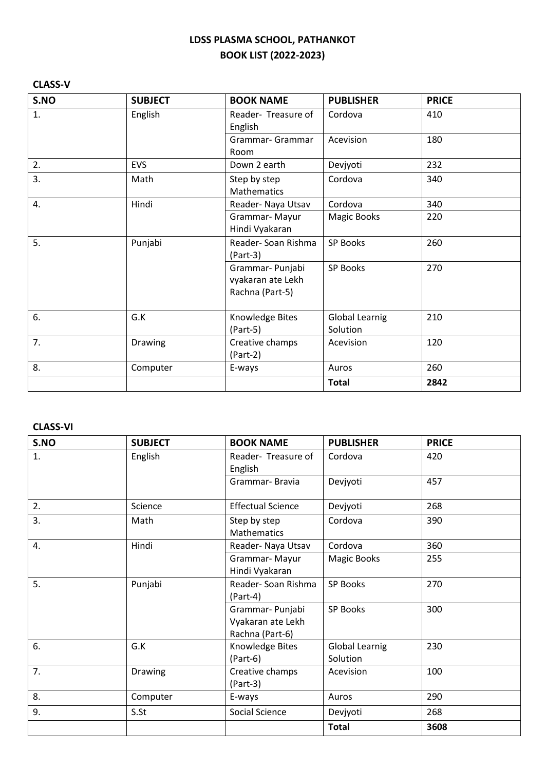### **CLASS-V**

| S.NO | <b>SUBJECT</b> | <b>BOOK NAME</b>                                         | <b>PUBLISHER</b>           | <b>PRICE</b> |
|------|----------------|----------------------------------------------------------|----------------------------|--------------|
| 1.   | English        | Reader- Treasure of<br>English                           | Cordova                    | 410          |
|      |                | Grammar- Grammar<br>Room                                 | Acevision                  | 180          |
| 2.   | EVS            | Down 2 earth                                             | Devjyoti                   | 232          |
| 3.   | Math           | Step by step<br>Mathematics                              | Cordova                    | 340          |
| 4.   | Hindi          | Reader- Naya Utsav                                       | Cordova                    | 340          |
|      |                | Grammar-Mayur<br>Hindi Vyakaran                          | <b>Magic Books</b>         | 220          |
| 5.   | Punjabi        | Reader-Soan Rishma<br>$(Part-3)$                         | <b>SP Books</b>            | 260          |
|      |                | Grammar- Punjabi<br>vyakaran ate Lekh<br>Rachna (Part-5) | <b>SP Books</b>            | 270          |
| 6.   | G.K            | Knowledge Bites<br>$(Part-5)$                            | Global Learnig<br>Solution | 210          |
| 7.   | Drawing        | Creative champs<br>$(Part-2)$                            | Acevision                  | 120          |
| 8.   | Computer       | E-ways                                                   | Auros                      | 260          |
|      |                |                                                          | <b>Total</b>               | 2842         |

#### **CLASS-VI**

| S.NO | <b>SUBJECT</b> | <b>BOOK NAME</b>                                        | <b>PUBLISHER</b>                  | <b>PRICE</b> |
|------|----------------|---------------------------------------------------------|-----------------------------------|--------------|
| 1.   | English        | Reader- Treasure of<br>English                          | Cordova                           | 420          |
|      |                | Grammar-Bravia                                          | Devjyoti                          | 457          |
| 2.   | Science        | <b>Effectual Science</b>                                | Devjyoti                          | 268          |
| 3.   | Math           | Step by step<br><b>Mathematics</b>                      | Cordova                           | 390          |
| 4.   | Hindi          | Reader- Naya Utsav                                      | Cordova                           | 360          |
|      |                | Grammar-Mayur<br>Hindi Vyakaran                         | <b>Magic Books</b>                | 255          |
| 5.   | Punjabi        | Reader-Soan Rishma<br>(Part-4)                          | SP Books                          | 270          |
|      |                | Grammar-Punjabi<br>Vyakaran ate Lekh<br>Rachna (Part-6) | <b>SP Books</b>                   | 300          |
| 6.   | G.K            | Knowledge Bites<br>$(Part-6)$                           | <b>Global Learnig</b><br>Solution | 230          |
| 7.   | <b>Drawing</b> | Creative champs<br>$(Part-3)$                           | Acevision                         | 100          |
| 8.   | Computer       | E-ways                                                  | Auros                             | 290          |
| 9.   | S.St           | Social Science                                          | Devjyoti                          | 268          |
|      |                |                                                         | <b>Total</b>                      | 3608         |